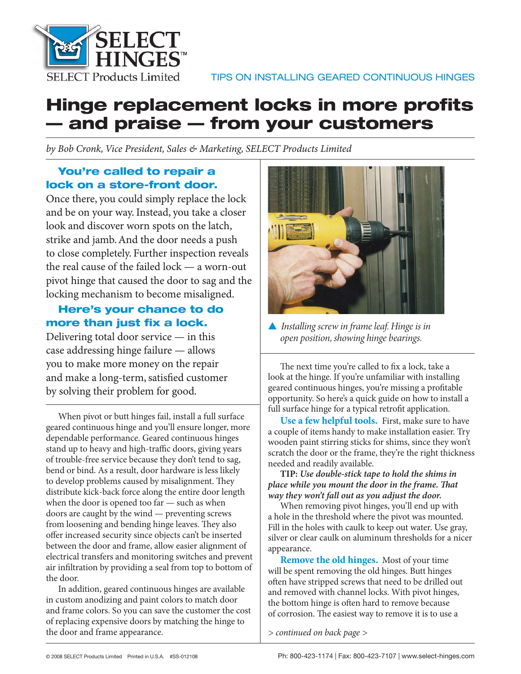

# **Hinge replacement locks in more profits — and praise — from your customers**

*by Bob Cronk, Vice President, Sales & Marketing, SELECT Products Limited*

# **You're called to repair a lock on a store-front door.**

Once there, you could simply replace the lock and be on your way. Instead, you take a closer look and discover worn spots on the latch, strike and jamb. And the door needs a push to close completely. Further inspection reveals the real cause of the failed lock — a worn-out pivot hinge that caused the door to sag and the locking mechanism to become misaligned.

# **Here's your chance to do**  more than just fix a lock.

Delivering total door service — in this case addressing hinge failure — allows you to make more money on the repair and make a long-term, satisfied customer by solving their problem for good.

When pivot or butt hinges fail, install a full surface geared continuous hinge and you'll ensure longer, more dependable performance. Geared continuous hinges stand up to heavy and high-traffic doors, giving years of trouble-free service because they don't tend to sag, bend or bind. As a result, door hardware is less likely to develop problems caused by misalignment. They distribute kick-back force along the entire door length when the door is opened too far — such as when doors are caught by the wind — preventing screws from loosening and bending hinge leaves. They also offer increased security since objects can't be inserted between the door and frame, allow easier alignment of electrical transfers and monitoring switches and prevent air infiltration by providing a seal from top to bottom of the door.

In addition, geared continuous hinges are available in custom anodizing and paint colors to match door and frame colors. So you can save the customer the cost of replacing expensive doors by matching the hinge to the door and frame appearance.



▲ *Installing screw in frame leaf. Hinge is in open position, showing hinge bearings.*

The next time you're called to fix a lock, take a look at the hinge. If you're unfamiliar with installing geared continuous hinges, you're missing a profitable opportunity. So here's a quick guide on how to install a full surface hinge for a typical retrofit application.

**Use a few helpful tools.** First, make sure to have a couple of items handy to make installation easier. Try wooden paint stirring sticks for shims, since they won't scratch the door or the frame, they're the right thickness needed and readily available.

**TIP:** *Use double-stick tape to hold the shims in place while you mount the door in the frame. That way they won't fall out as you adjust the door.*

When removing pivot hinges, you'll end up with a hole in the threshold where the pivot was mounted. Fill in the holes with caulk to keep out water. Use gray, silver or clear caulk on aluminum thresholds for a nicer appearance.

**Remove the old hinges.** Most of your time will be spent removing the old hinges. Butt hinges often have stripped screws that need to be drilled out and removed with channel locks. With pivot hinges, the bottom hinge is often hard to remove because of corrosion. The easiest way to remove it is to use a

*> continued on back page >*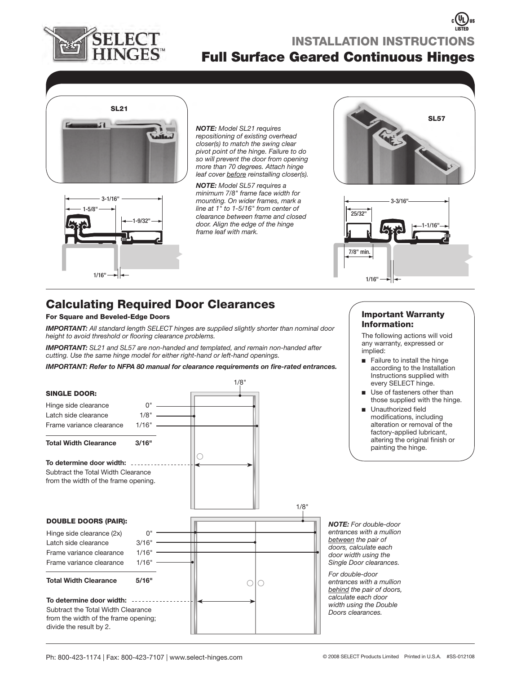

# **Full Surface Geared Continuous Hinges INSTALLATION INSTRUCTIONS**



*NOTE: Model SL21 requires repositioning of existing overhead closer(s) to match the swing clear pivot point of the hinge. Failure to do so will prevent the door from opening more than 70 degrees. Attach hinge leaf cover before reinstalling closer(s).*

1-9/32" 3-1/16" 1/16" 1-5/8"

*NOTE: Model SL57 requires a minimum 7/8" frame face width for mounting. On wider frames, mark a line at 1" to 1-5/16" from center of clearance between frame and closed door. Align the edge of the hinge frame leaf with mark.* 





# **Calculating Required Door Clearances**

### **For Square and Beveled-Edge Doors**

*IMPORTANT: All standard length SELECT hinges are supplied slightly shorter than nominal door*  height to avoid threshold or flooring clearance problems.

*IMPORTANT: SL21 and SL57 are non-handed and templated, and remain non-handed after cutting. Use the same hinge model for either right-hand or left-hand openings.*

*IMPORTANT: Refer to NFPA 80 manual for clearance requirements on fire-rated entrances.* 



### **Important Warranty Information:**

The following actions will void any warranty, expressed or implied:

- Failure to install the hinge according to the Installation Instructions supplied with every SELECT hinge.
- Use of fasteners other than those supplied with the hinge. ■
- Unauthorized field modifications, including alteration or removal of the factory-applied lubricant, altering the original finish or painting the hinge. ■

*NOTE: For double-door entrances with a mullion between the pair of doors, calculate each door width using the Single Door clearances.* 

*For double-door entrances with a mullion behind the pair of doors, calculate each door width using the Double Doors clearances.*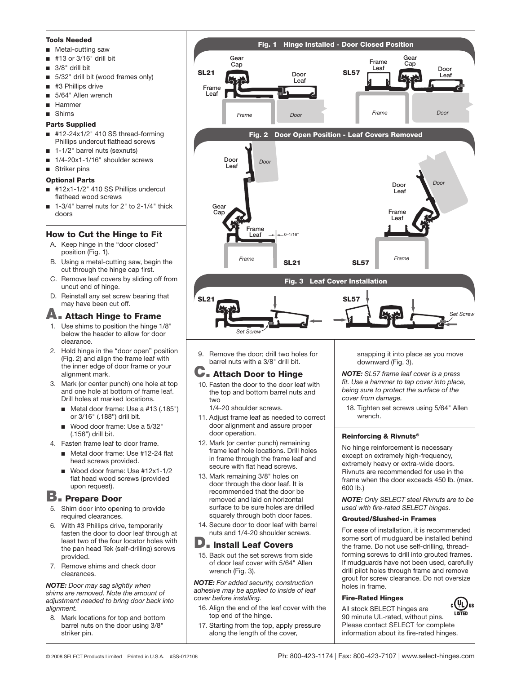#### **Tools Needed**

- Metal-cutting saw ■
- #13 or 3/16" drill bit ■
- 3/8" drill bit ■
- 5/32" drill bit (wood frames only) ■
- #3 Phillips drive ■
- 5/64" Allen wrench ■
- Hammer ■
- Shims ■

#### **Parts Supplied**

- #12-24x1/2" 410 SS thread-forming Phillips undercut flathead screws ■
- 1-1/2" barrel nuts (sexnuts) ■
- 1/4-20x1-1/16" shoulder screws ■
- Striker pins

#### **Optional Parts**

- #12x1-1/2" 410 SS Phillips undercut flathead wood screws ■
- 1-3/4" barrel nuts for 2" to 2-1/4" thick doors ■

### **How to Cut the Hinge to Fit**

- A. Keep hinge in the "door closed" position (Fig. 1).
- B. Using a metal-cutting saw, begin the cut through the hinge cap first.
- C. Remove leaf covers by sliding off from uncut end of hinge.
- D. Reinstall any set screw bearing that may have been cut off.

# **A. Attach Hinge to Frame**

- 1. Use shims to position the hinge 1/8" below the header to allow for door clearance.
- 2. Hold hinge in the "door open" position (Fig. 2) and align the frame leaf with the inner edge of door frame or your alignment mark.
- 3. Mark (or center punch) one hole at top and one hole at bottom of frame leaf. Drill holes at marked locations.
	- Metal door frame: Use a #13 (.185") or 3/16" (.188") drill bit.
	- Wood door frame: Use a 5/32" (.156") drill bit.
- 4. Fasten frame leaf to door frame.
	- Metal door frame: Use #12-24 flat head screws provided.
	- Wood door frame: Use #12x1-1/2 flat head wood screws (provided upon request). ■

# **B. Prepare Door**

- 5. Shim door into opening to provide required clearances.
- 6. With #3 Phillips drive, temporarily fasten the door to door leaf through at least two of the four locator holes with the pan head Tek (self-drilling) screws provided.
- 7. Remove shims and check door clearances.

#### *NOTE: Door may sag slightly when shims are removed. Note the amount of adjustment needed to bring door back into alignment.*

8. Mark locations for top and bottom barrel nuts on the door using 3/8" striker pin.



9. Remove the door; drill two holes for barrel nuts with a 3/8" drill bit.

# **C. Attach Door to Hinge**

10. Fasten the door to the door leaf with the top and bottom barrel nuts and two

1/4-20 shoulder screws.

- 11. Adjust frame leaf as needed to correct door alignment and assure proper door operation.
- 12. Mark (or center punch) remaining frame leaf hole locations. Drill holes in frame through the frame leaf and secure with flat head screws.
- 13. Mark remaining 3/8" holes on door through the door leaf. It is recommended that the door be removed and laid on horizontal surface to be sure holes are drilled squarely through both door faces.
- 14. Secure door to door leaf with barrel nuts and 1/4-20 shoulder screws.

### **D. Install Leaf Covers**

15. Back out the set screws from side of door leaf cover with 5/64" Allen wrench (Fig. 3).

*NOTE: For added security, construction adhesive may be applied to inside of leaf cover before installing.*

- 16. Align the end of the leaf cover with the top end of the hinge.
- 17. Starting from the top, apply pressure along the length of the cover,

snapping it into place as you move downward (Fig. 3).

*NOTE: SL57 frame leaf cover is a press*  fit. Use a hammer to tap cover into place, *being sure to protect the surface of the cover from damage.*

18. Tighten set screws using 5/64" Allen wrench.

### **Reinforcing & Rivnuts®**

No hinge reinforcement is necessary except on extremely high-frequency, extremely heavy or extra-wide doors. Rivnuts are recommended for use in the frame when the door exceeds 450 lb. (max. 600 lb.)

*NOTE: Only SELECT steel Rivnuts are to be*  used with fire-rated **SELECT** hinges.

#### **Grouted/Slushed-in Frames**

For ease of installation, it is recommended some sort of mudguard be installed behind the frame. Do not use self-drilling, threadforming screws to drill into grouted frames. If mudguards have not been used, carefully drill pilot holes through frame and remove grout for screw clearance. Do not oversize holes in frame.

### **Fire-Rated Hinges**

 $_{\rm c}(\mathtt{\mathsf{U}}_{\mathsf{L}})_{\rm us}$ All stock SELECT hinges are 90 minute UL-rated, without pins. Please contact SELECT for complete information about its fire-rated hinges.